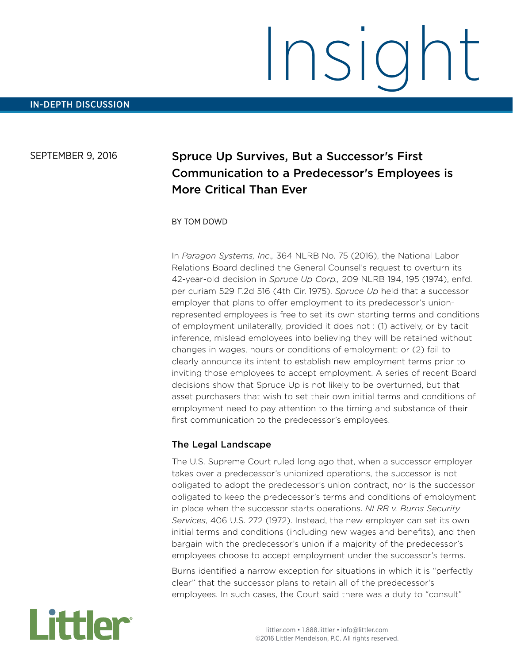# Insight

### SEPTEMBER 9, 2016

# Spruce Up Survives, But a Successor's First Communication to a Predecessor's Employees is More Critical Than Ever

### BY TOM DOWD

In *Paragon Systems, Inc.,* 364 NLRB No. 75 (2016), the National Labor Relations Board declined the General Counsel's request to overturn its 42-year-old decision in *Spruce Up Corp.,* 209 NLRB 194, 195 (1974), enfd. per curiam 529 F.2d 516 (4th Cir. 1975). *Spruce Up* held that a successor employer that plans to offer employment to its predecessor's unionrepresented employees is free to set its own starting terms and conditions of employment unilaterally, provided it does not : (1) actively, or by tacit inference, mislead employees into believing they will be retained without changes in wages, hours or conditions of employment; or (2) fail to clearly announce its intent to establish new employment terms prior to inviting those employees to accept employment. A series of recent Board decisions show that Spruce Up is not likely to be overturned, but that asset purchasers that wish to set their own initial terms and conditions of employment need to pay attention to the timing and substance of their first communication to the predecessor's employees.

### The Legal Landscape

The U.S. Supreme Court ruled long ago that, when a successor employer takes over a predecessor's unionized operations, the successor is not obligated to adopt the predecessor's union contract, nor is the successor obligated to keep the predecessor's terms and conditions of employment in place when the successor starts operations. *NLRB v. Burns Security Services*, 406 U.S. 272 (1972). Instead, the new employer can set its own initial terms and conditions (including new wages and benefits), and then bargain with the predecessor's union if a majority of the predecessor's employees choose to accept employment under the successor's terms.

Burns identified a narrow exception for situations in which it is "perfectly clear" that the successor plans to retain all of the predecessor's employees. In such cases, the Court said there was a duty to "consult"

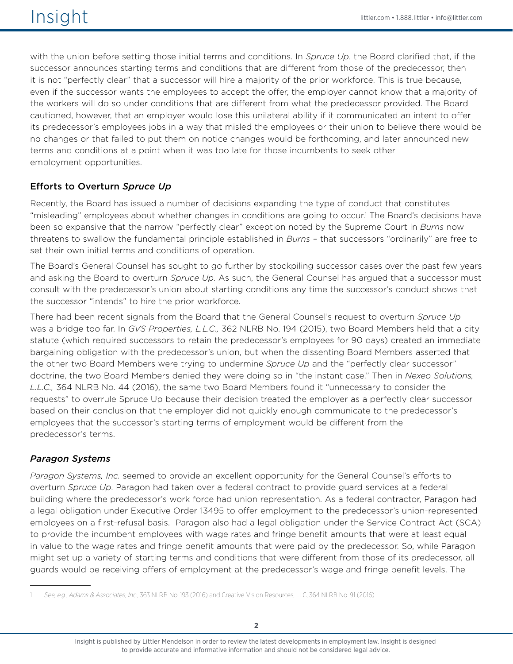with the union before setting those initial terms and conditions. In *Spruce Up*, the Board clarified that, if the successor announces starting terms and conditions that are different from those of the predecessor, then it is not "perfectly clear" that a successor will hire a majority of the prior workforce. This is true because, even if the successor wants the employees to accept the offer, the employer cannot know that a majority of the workers will do so under conditions that are different from what the predecessor provided. The Board cautioned, however, that an employer would lose this unilateral ability if it communicated an intent to offer its predecessor's employees jobs in a way that misled the employees or their union to believe there would be no changes or that failed to put them on notice changes would be forthcoming, and later announced new terms and conditions at a point when it was too late for those incumbents to seek other employment opportunities.

## Efforts to Overturn *Spruce Up*

Recently, the Board has issued a number of decisions expanding the type of conduct that constitutes "misleading" employees about whether changes in conditions are going to occur.<sup>1</sup> The Board's decisions have been so expansive that the narrow "perfectly clear" exception noted by the Supreme Court in *Burns* now threatens to swallow the fundamental principle established in *Burns* – that successors "ordinarily" are free to set their own initial terms and conditions of operation.

The Board's General Counsel has sought to go further by stockpiling successor cases over the past few years and asking the Board to overturn *Spruce Up*. As such, the General Counsel has argued that a successor must consult with the predecessor's union about starting conditions any time the successor's conduct shows that the successor "intends" to hire the prior workforce.

There had been recent signals from the Board that the General Counsel's request to overturn *Spruce Up*  was a bridge too far. In *GVS Properties, L.L.C.,* 362 NLRB No. 194 (2015), two Board Members held that a city statute (which required successors to retain the predecessor's employees for 90 days) created an immediate bargaining obligation with the predecessor's union, but when the dissenting Board Members asserted that the other two Board Members were trying to undermine *Spruce Up* and the "perfectly clear successor" doctrine, the two Board Members denied they were doing so in "the instant case." Then in *Nexeo Solutions, L.L.C.,* 364 NLRB No. 44 (2016), the same two Board Members found it "unnecessary to consider the requests" to overrule Spruce Up because their decision treated the employer as a perfectly clear successor based on their conclusion that the employer did not quickly enough communicate to the predecessor's employees that the successor's starting terms of employment would be different from the predecessor's terms.

## *Paragon Systems*

*Paragon Systems, Inc.* seemed to provide an excellent opportunity for the General Counsel's efforts to overturn *Spruce Up*. Paragon had taken over a federal contract to provide guard services at a federal building where the predecessor's work force had union representation. As a federal contractor, Paragon had a legal obligation under Executive Order 13495 to offer employment to the predecessor's union-represented employees on a first-refusal basis. Paragon also had a legal obligation under the Service Contract Act (SCA) to provide the incumbent employees with wage rates and fringe benefit amounts that were at least equal in value to the wage rates and fringe benefit amounts that were paid by the predecessor. So, while Paragon might set up a variety of starting terms and conditions that were different from those of its predecessor, all guards would be receiving offers of employment at the predecessor's wage and fringe benefit levels. The

<sup>1</sup> *See, e.g., Adams & Associates, Inc.,* 363 NLRB No. 193 (2016) and Creative Vision Resources, LLC, 364 NLRB No. 91 (2016).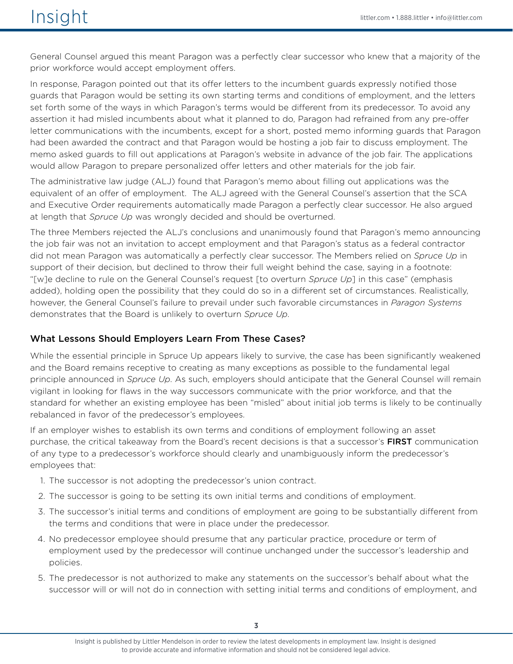General Counsel argued this meant Paragon was a perfectly clear successor who knew that a majority of the prior workforce would accept employment offers.

In response, Paragon pointed out that its offer letters to the incumbent guards expressly notified those guards that Paragon would be setting its own starting terms and conditions of employment, and the letters set forth some of the ways in which Paragon's terms would be different from its predecessor. To avoid any assertion it had misled incumbents about what it planned to do, Paragon had refrained from any pre-offer letter communications with the incumbents, except for a short, posted memo informing guards that Paragon had been awarded the contract and that Paragon would be hosting a job fair to discuss employment. The memo asked guards to fill out applications at Paragon's website in advance of the job fair. The applications would allow Paragon to prepare personalized offer letters and other materials for the job fair.

The administrative law judge (ALJ) found that Paragon's memo about filling out applications was the equivalent of an offer of employment. The ALJ agreed with the General Counsel's assertion that the SCA and Executive Order requirements automatically made Paragon a perfectly clear successor. He also argued at length that *Spruce Up* was wrongly decided and should be overturned.

The three Members rejected the ALJ's conclusions and unanimously found that Paragon's memo announcing the job fair was not an invitation to accept employment and that Paragon's status as a federal contractor did not mean Paragon was automatically a perfectly clear successor. The Members relied on *Spruce Up* in support of their decision, but declined to throw their full weight behind the case, saying in a footnote: "[w]e decline to rule on the General Counsel's request [to overturn *Spruce Up*] in this case" (emphasis added), holding open the possibility that they could do so in a different set of circumstances. Realistically, however, the General Counsel's failure to prevail under such favorable circumstances in *Paragon Systems* demonstrates that the Board is unlikely to overturn *Spruce Up*.

### What Lessons Should Employers Learn From These Cases?

While the essential principle in Spruce Up appears likely to survive, the case has been significantly weakened and the Board remains receptive to creating as many exceptions as possible to the fundamental legal principle announced in *Spruce Up*. As such, employers should anticipate that the General Counsel will remain vigilant in looking for flaws in the way successors communicate with the prior workforce, and that the standard for whether an existing employee has been "misled" about initial job terms is likely to be continually rebalanced in favor of the predecessor's employees.

If an employer wishes to establish its own terms and conditions of employment following an asset purchase, the critical takeaway from the Board's recent decisions is that a successor's FIRST communication of any type to a predecessor's workforce should clearly and unambiguously inform the predecessor's employees that:

- 1. The successor is not adopting the predecessor's union contract.
- 2. The successor is going to be setting its own initial terms and conditions of employment.
- 3. The successor's initial terms and conditions of employment are going to be substantially different from the terms and conditions that were in place under the predecessor.
- 4. No predecessor employee should presume that any particular practice, procedure or term of employment used by the predecessor will continue unchanged under the successor's leadership and policies.
- 5. The predecessor is not authorized to make any statements on the successor's behalf about what the successor will or will not do in connection with setting initial terms and conditions of employment, and